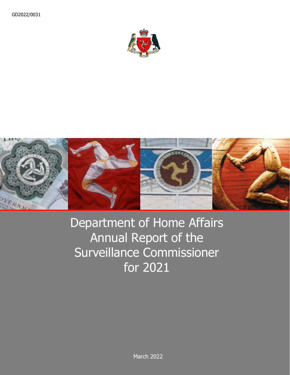



# Department of Home Affairs Annual Report of the Surveillance Commissioner for 2021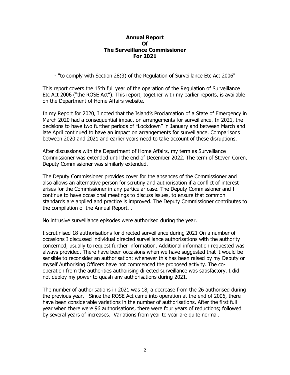#### **Annual Report Of The Surveillance Commissioner For 2021**

- "to comply with Section 28(3) of the Regulation of Surveillance Etc Act 2006"

This report covers the 15th full year of the operation of the Regulation of Surveillance Etc Act 2006 ("the ROSE Act"). This report, together with my earlier reports, is available on the Department of Home Affairs website.

In my Report for 2020, I noted that the Island's Proclamation of a State of Emergency in March 2020 had a consequential impact on arrangements for surveillance. In 2021, the decisions to have two further periods of "Lockdown" in January and between March and late April continued to have an impact on arrangements for surveillance. Comparisons between 2020 and 2021 and earlier years need to take account of these disruptions.

After discussions with the Department of Home Affairs, my term as Surveillance Commissioner was extended until the end of December 2022. The term of Steven Coren, Deputy Commissioner was similarly extended.

The Deputy Commissioner provides cover for the absences of the Commissioner and also allows an alternative person for scrutiny and authorisation if a conflict of interest arises for the Commissioner in any particular case. The Deputy Commissioner and I continue to have occasional meetings to discuss issues, to ensure that common standards are applied and practice is improved. The Deputy Commissioner contributes to the compilation of the Annual Report. .

No intrusive surveillance episodes were authorised during the year.

I scrutinised 18 authorisations for directed surveillance during 2021 On a number of occasions I discussed individual directed surveillance authorisations with the authority concerned, usually to request further information. Additional information requested was always provided. There have been occasions when we have suggested that it would be sensible to reconsider an authorisation: whenever this has been raised by my Deputy or myself Authorising Officers have not commenced the proposed activity. The cooperation from the authorities authorising directed surveillance was satisfactory. I did not deploy my power to quash any authorisations during 2021.

The number of authorisations in 2021 was 18, a decrease from the 26 authorised during the previous year. Since the ROSE Act came into operation at the end of 2006, there have been considerable variations in the number of authorisations. After the first full year when there were 96 authorisations, there were four years of reductions; followed by several years of increases. Variations from year to year are quite normal.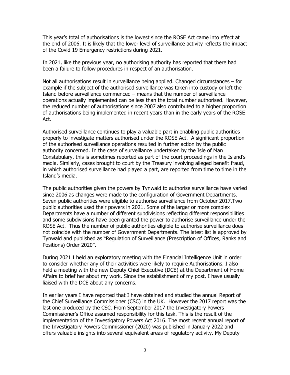This year's total of authorisations is the lowest since the ROSE Act came into effect at the end of 2006. It is likely that the lower level of surveillance activity reflects the impact of the Covid 19 Emergency restrictions during 2021.

In 2021, like the previous year, no authorising authority has reported that there had been a failure to follow procedures in respect of an authorisation.

Not all authorisations result in surveillance being applied. Changed circumstances – for example if the subject of the authorised surveillance was taken into custody or left the Island before surveillance commenced – means that the number of surveillance operations actually implemented can be less than the total number authorised. However, the reduced number of authorisations since 2007 also contributed to a higher proportion of authorisations being implemented in recent years than in the early years of the ROSE Act.

Authorised surveillance continues to play a valuable part in enabling public authorities properly to investigate matters authorised under the ROSE Act. A significant proportion of the authorised surveillance operations resulted in further action by the public authority concerned. In the case of surveillance undertaken by the Isle of Man Constabulary, this is sometimes reported as part of the court proceedings in the Island's media. Similarly, cases brought to court by the Treasury involving alleged benefit fraud, in which authorised surveillance had played a part, are reported from time to time in the Island's media.

The public authorities given the powers by Tynwald to authorise surveillance have varied since 2006 as changes were made to the configuration of Government Departments. Seven public authorities were eligible to authorise surveillance from October 2017.Two public authorities used their powers in 2021. Some of the larger or more complex Departments have a number of different subdivisions reflecting different responsibilities and some subdivisions have been granted the power to authorise surveillance under the ROSE Act. Thus the number of public authorities eligible to authorise surveillance does not coincide with the number of Government Departments. The latest list is approved by Tynwald and published as "Regulation of Surveillance (Prescription of Offices, Ranks and Positions) Order 2020".

During 2021 I held an exploratory meeting with the Financial Intelligence Unit in order to consider whether any of their activities were likely to require Authorisations. I also held a meeting with the new Deputy Chief Executive (DCE) at the Department of Home Affairs to brief her about my work. Since the establishment of my post, I have usually liaised with the DCE about any concerns.

In earlier years I have reported that I have obtained and studied the annual Report of the Chief Surveillance Commissioner (CSC) in the UK. However the 2017 report was the last one produced by the CSC. From September 2017 the Investigatory Powers Commissioner's Office assumed responsibility for this task. This is the result of the implementation of the Investigatory Powers Act 2016. The most recent annual report of the Investigatory Powers Commissioner (2020) was published in January 2022 and offers valuable insights into several equivalent areas of regulatory activity. My Deputy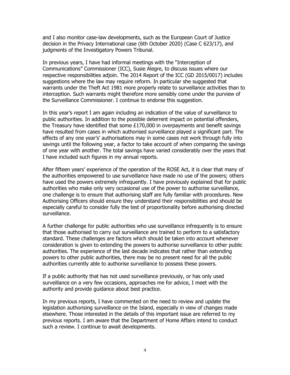and I also monitor case-law developments, such as the European Court of Justice decision in the Privacy International case (6th October 2020) (Case C 623/17), and judgments of the Investigatory Powers Tribunal.

In previous years, I have had informal meetings with the "Interception of Communications" Commissioner (ICC), Susie Alegre, to discuss issues where our respective responsibilities adjoin. The 2014 Report of the ICC (GD 2015/0017) includes suggestions where the law may require reform. In particular she suggested that warrants under the Theft Act 1981 more properly relate to surveillance activities than to interception. Such warrants might therefore more sensibly come under the purview of the Surveillance Commissioner. I continue to endorse this suggestion.

In this year's report I am again including an indication of the value of surveillance to public authorities. In addition to the possible deterrent impact on potential offenders, the Treasury have identified that some  $£170,000$  in overpayments and benefit savings have resulted from cases in which authorised surveillance played a significant part. The effects of any one year's' authorisations may in some cases not work through fully into savings until the following year, a factor to take account of when comparing the savings of one year with another. The total savings have varied considerably over the years that I have included such figures in my annual reports.

After fifteen years' experience of the operation of the ROSE Act, it is clear that many of the authorities empowered to use surveillance have made no use of the powers; others have used the powers extremely infrequently. I have previously explained that for public authorities who make only very occasional use of the power to authorise surveillance, one challenge is to ensure that authorising staff are fully familiar with procedures. New Authorising Officers should ensure they understand their responsibilities and should be especially careful to consider fully the test of proportionality before authorising directed surveillance.

A further challenge for public authorities who use surveillance infrequently is to ensure that those authorised to carry out surveillance are trained to perform to a satisfactory standard. These challenges are factors which should be taken into account whenever consideration is given to extending the powers to authorise surveillance to other public authorities. The experience of the last decade indicates that rather than extending powers to other public authorities, there may be no present need for all the public authorities currently able to authorise surveillance to possess these powers.

If a public authority that has not used surveillance previously, or has only used surveillance on a very few occasions, approaches me for advice, I meet with the authority and provide guidance about best practice.

In my previous reports, I have commented on the need to review and update the legislation authorising surveillance on the Island, especially in view of changes made elsewhere. Those interested in the details of this important issue are referred to my previous reports. I am aware that the Department of Home Affairs intend to conduct such a review. I continue to await developments.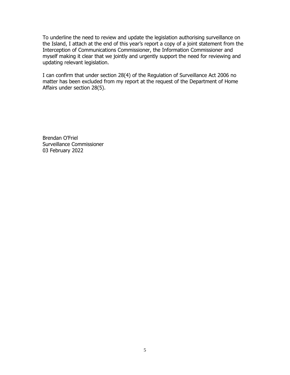To underline the need to review and update the legislation authorising surveillance on the Island, I attach at the end of this year's report a copy of a joint statement from the Interception of Communications Commissioner, the Information Commissioner and myself making it clear that we jointly and urgently support the need for reviewing and updating relevant legislation.

I can confirm that under section 28(4) of the Regulation of Surveillance Act 2006 no matter has been excluded from my report at the request of the Department of Home Affairs under section 28(5).

Brendan O'Friel Surveillance Commissioner 03 February 2022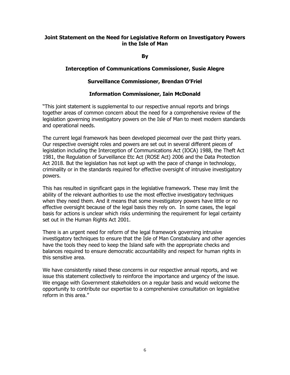## **Joint Statement on the Need for Legislative Reform on Investigatory Powers in the Isle of Man**

**By**

### **Interception of Communications Commissioner, Susie Alegre**

## **Surveillance Commissioner, Brendan O'Friel**

## **Information Commissioner, Iain McDonald**

"This joint statement is supplemental to our respective annual reports and brings together areas of common concern about the need for a comprehensive review of the legislation governing investigatory powers on the Isle of Man to meet modern standards and operational needs.

The current legal framework has been developed piecemeal over the past thirty years. Our respective oversight roles and powers are set out in several different pieces of legislation including the Interception of Communications Act (IOCA) 1988, the Theft Act 1981, the Regulation of Surveillance Etc Act (ROSE Act) 2006 and the Data Protection Act 2018. But the legislation has not kept up with the pace of change in technology, criminality or in the standards required for effective oversight of intrusive investigatory powers.

This has resulted in significant gaps in the legislative framework. These may limit the ability of the relevant authorities to use the most effective investigatory techniques when they need them. And it means that some investigatory powers have little or no effective oversight because of the legal basis they rely on. In some cases, the legal basis for actions is unclear which risks undermining the requirement for legal certainty set out in the Human Rights Act 2001.

There is an urgent need for reform of the legal framework governing intrusive investigatory techniques to ensure that the Isle of Man Constabulary and other agencies have the tools they need to keep the Island safe with the appropriate checks and balances required to ensure democratic accountability and respect for human rights in this sensitive area.

We have consistently raised these concerns in our respective annual reports, and we issue this statement collectively to reinforce the importance and urgency of the issue. We engage with Government stakeholders on a regular basis and would welcome the opportunity to contribute our expertise to a comprehensive consultation on legislative reform in this area."